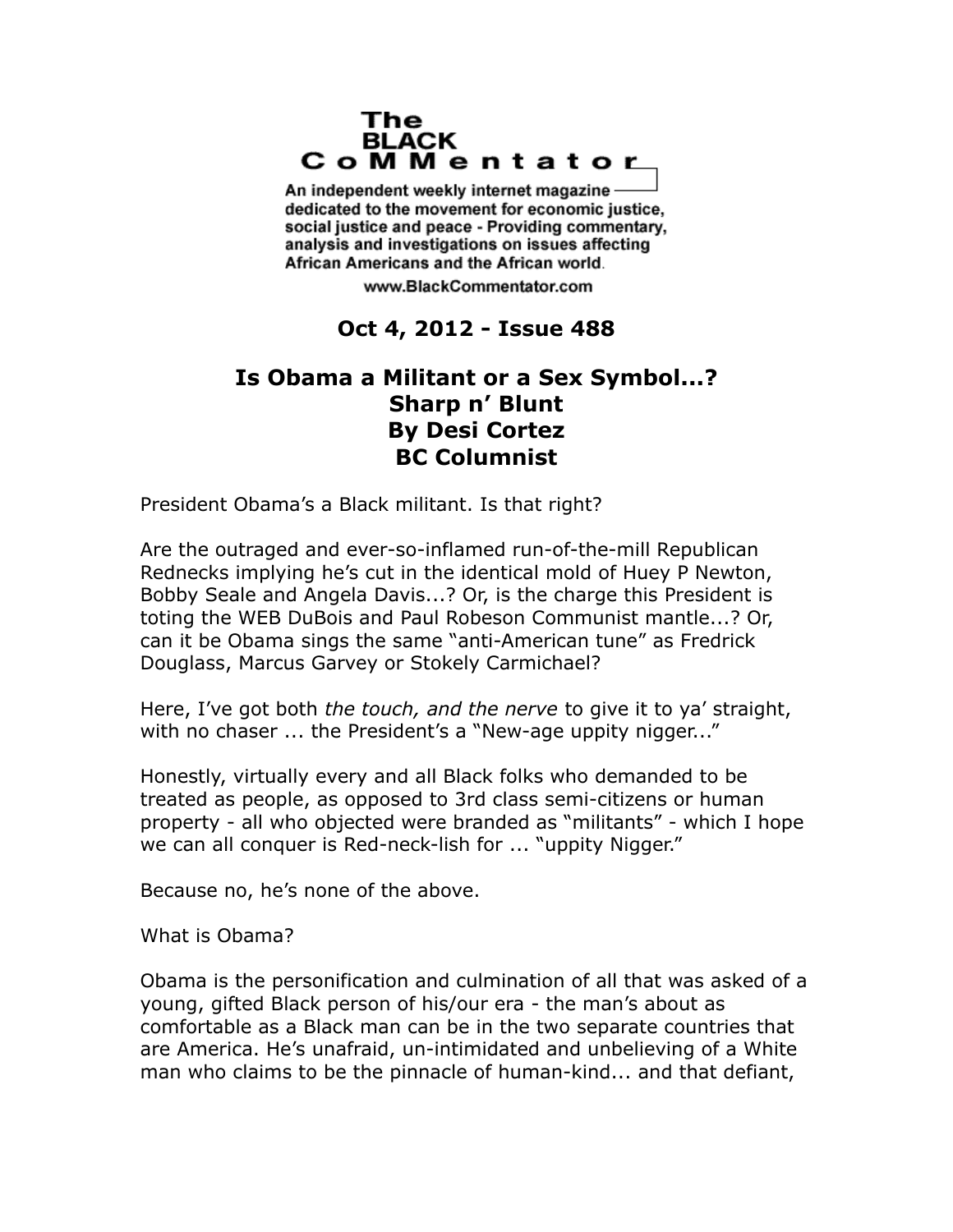## The **BLACK** CoMMentator

An independent weekly internet magazine dedicated to the movement for economic justice. social justice and peace - Providing commentary, analysis and investigations on issues affecting African Americans and the African world.

www.BlackCommentator.com

## **Oct 4, 2012 - Issue 488**

## **Is Obama a Militant or a Sex Symbol...? Sharp n' Blunt By Desi Cortez BC Columnist**

President Obama's a Black militant. Is that right?

Are the outraged and ever-so-inflamed run-of-the-mill Republican Rednecks implying he's cut in the identical mold of Huey P Newton, Bobby Seale and Angela Davis...? Or, is the charge this President is toting the WEB DuBois and Paul Robeson Communist mantle...? Or, can it be Obama sings the same "anti-American tune" as Fredrick Douglass, Marcus Garvey or Stokely Carmichael?

Here, I've got both *the touch, and the nerve* to give it to ya' straight, with no chaser ... the President's a "New-age uppity nigger..."

Honestly, virtually every and all Black folks who demanded to be treated as people, as opposed to 3rd class semi-citizens or human property - all who objected were branded as "militants" - which I hope we can all conquer is Red-neck-lish for ... "uppity Nigger."

Because no, he's none of the above.

What is Obama?

Obama is the personification and culmination of all that was asked of a young, gifted Black person of his/our era - the man's about as comfortable as a Black man can be in the two separate countries that are America. He's unafraid, un-intimidated and unbelieving of a White man who claims to be the pinnacle of human-kind... and that defiant,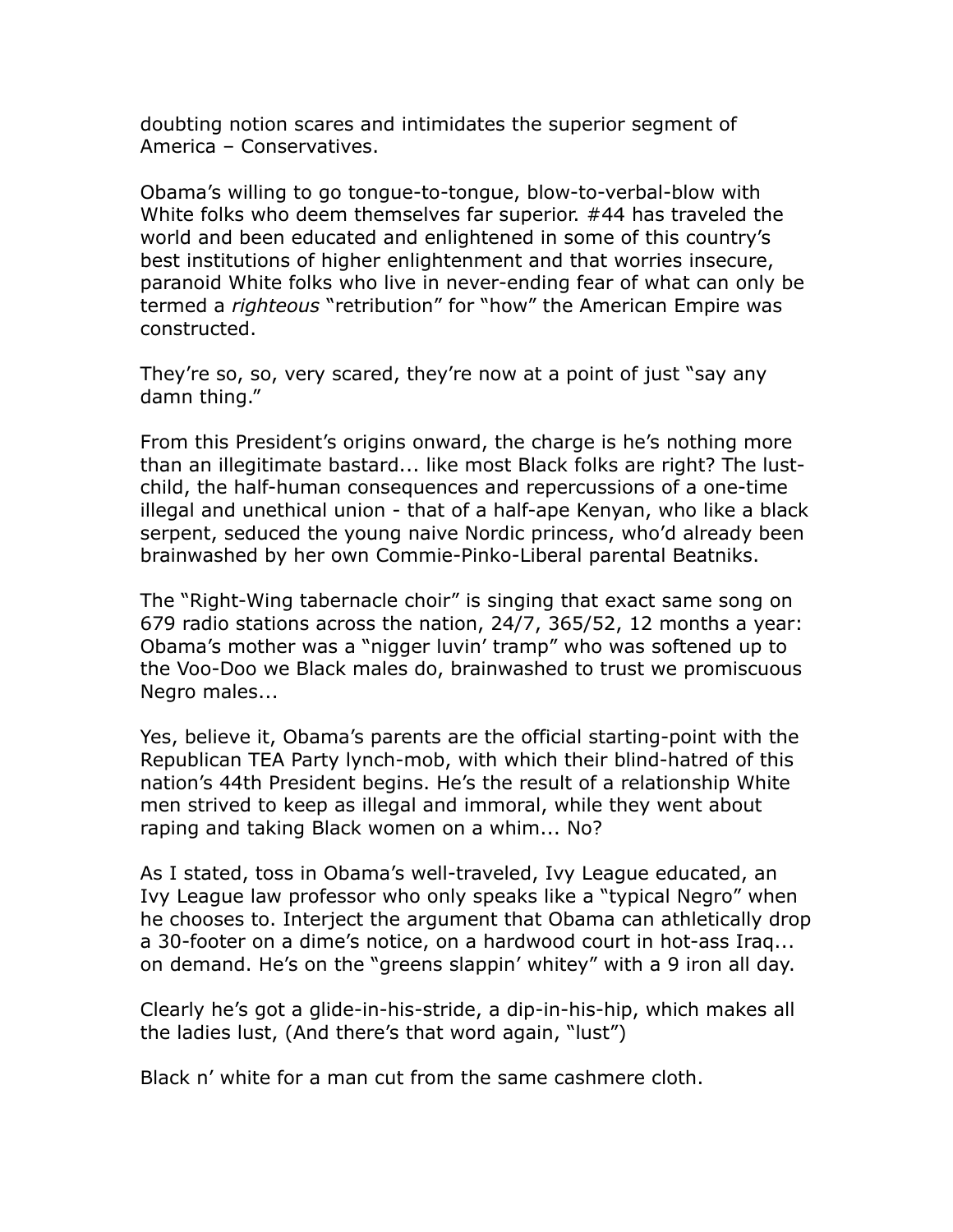doubting notion scares and intimidates the superior segment of America – Conservatives.

Obama's willing to go tongue-to-tongue, blow-to-verbal-blow with White folks who deem themselves far superior. #44 has traveled the world and been educated and enlightened in some of this country's best institutions of higher enlightenment and that worries insecure, paranoid White folks who live in never-ending fear of what can only be termed a *righteous* "retribution" for "how" the American Empire was constructed.

They're so, so, very scared, they're now at a point of just "say any damn thing."

From this President's origins onward, the charge is he's nothing more than an illegitimate bastard... like most Black folks are right? The lustchild, the half-human consequences and repercussions of a one-time illegal and unethical union - that of a half-ape Kenyan, who like a black serpent, seduced the young naive Nordic princess, who'd already been brainwashed by her own Commie-Pinko-Liberal parental Beatniks.

The "Right-Wing tabernacle choir" is singing that exact same song on 679 radio stations across the nation, 24/7, 365/52, 12 months a year: Obama's mother was a "nigger luvin' tramp" who was softened up to the Voo-Doo we Black males do, brainwashed to trust we promiscuous Negro males...

Yes, believe it, Obama's parents are the official starting-point with the Republican TEA Party lynch-mob, with which their blind-hatred of this nation's 44th President begins. He's the result of a relationship White men strived to keep as illegal and immoral, while they went about raping and taking Black women on a whim... No?

As I stated, toss in Obama's well-traveled, Ivy League educated, an Ivy League law professor who only speaks like a "typical Negro" when he chooses to. Interject the argument that Obama can athletically drop a 30-footer on a dime's notice, on a hardwood court in hot-ass Iraq... on demand. He's on the "greens slappin' whitey" with a 9 iron all day.

Clearly he's got a glide-in-his-stride, a dip-in-his-hip, which makes all the ladies lust, (And there's that word again, "lust")

Black n' white for a man cut from the same cashmere cloth.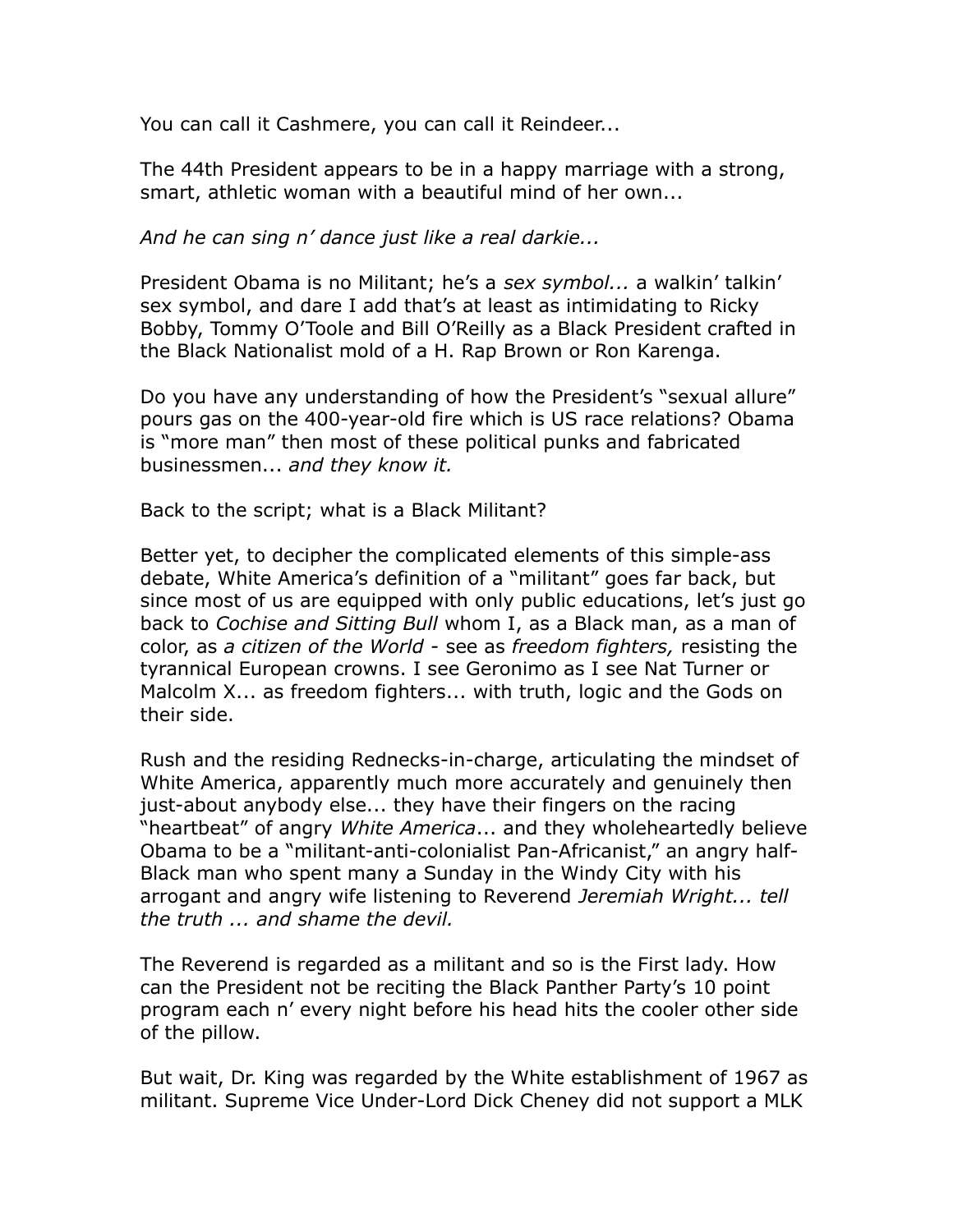You can call it Cashmere, you can call it Reindeer...

The 44th President appears to be in a happy marriage with a strong, smart, athletic woman with a beautiful mind of her own...

*And he can sing n' dance just like a real darkie...*

President Obama is no Militant; he's a *sex symbol...* a walkin' talkin' sex symbol, and dare I add that's at least as intimidating to Ricky Bobby, Tommy O'Toole and Bill O'Reilly as a Black President crafted in the Black Nationalist mold of a H. Rap Brown or Ron Karenga.

Do you have any understanding of how the President's "sexual allure" pours gas on the 400-year-old fire which is US race relations? Obama is "more man" then most of these political punks and fabricated businessmen... *and they know it.*

Back to the script; what is a Black Militant?

Better yet, to decipher the complicated elements of this simple-ass debate, White America's definition of a "militant" goes far back, but since most of us are equipped with only public educations, let's just go back to *Cochise and Sitting Bull* whom I, as a Black man, as a man of color, as *a citizen of the World -* see as *freedom fighters,* resisting the tyrannical European crowns. I see Geronimo as I see Nat Turner or Malcolm X... as freedom fighters... with truth, logic and the Gods on their side.

Rush and the residing Rednecks-in-charge, articulating the mindset of White America, apparently much more accurately and genuinely then just-about anybody else... they have their fingers on the racing "heartbeat" of angry *White America*... and they wholeheartedly believe Obama to be a "militant-anti-colonialist Pan-Africanist," an angry half-Black man who spent many a Sunday in the Windy City with his arrogant and angry wife listening to Reverend *Jeremiah Wright... tell the truth ... and shame the devil.*

The Reverend is regarded as a militant and so is the First lady. How can the President not be reciting the Black Panther Party's 10 point program each n' every night before his head hits the cooler other side of the pillow.

But wait, Dr. King was regarded by the White establishment of 1967 as militant. Supreme Vice Under-Lord Dick Cheney did not support a MLK